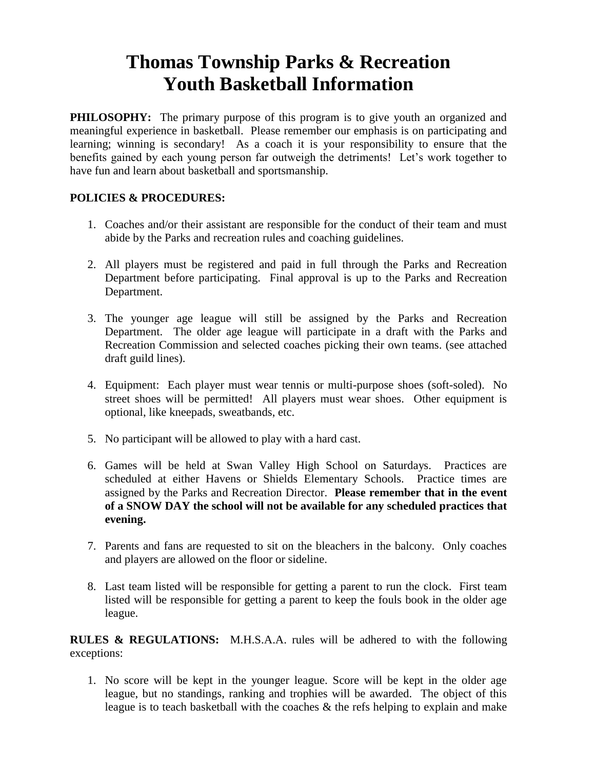## **Thomas Township Parks & Recreation Youth Basketball Information**

**PHILOSOPHY:** The primary purpose of this program is to give youth an organized and meaningful experience in basketball. Please remember our emphasis is on participating and learning; winning is secondary! As a coach it is your responsibility to ensure that the benefits gained by each young person far outweigh the detriments! Let's work together to have fun and learn about basketball and sportsmanship.

## **POLICIES & PROCEDURES:**

- 1. Coaches and/or their assistant are responsible for the conduct of their team and must abide by the Parks and recreation rules and coaching guidelines.
- 2. All players must be registered and paid in full through the Parks and Recreation Department before participating. Final approval is up to the Parks and Recreation Department.
- 3. The younger age league will still be assigned by the Parks and Recreation Department. The older age league will participate in a draft with the Parks and Recreation Commission and selected coaches picking their own teams. (see attached draft guild lines).
- 4. Equipment: Each player must wear tennis or multi-purpose shoes (soft-soled). No street shoes will be permitted! All players must wear shoes. Other equipment is optional, like kneepads, sweatbands, etc.
- 5. No participant will be allowed to play with a hard cast.
- 6. Games will be held at Swan Valley High School on Saturdays. Practices are scheduled at either Havens or Shields Elementary Schools. Practice times are assigned by the Parks and Recreation Director. **Please remember that in the event of a SNOW DAY the school will not be available for any scheduled practices that evening.**
- 7. Parents and fans are requested to sit on the bleachers in the balcony. Only coaches and players are allowed on the floor or sideline.
- 8. Last team listed will be responsible for getting a parent to run the clock. First team listed will be responsible for getting a parent to keep the fouls book in the older age league.

**RULES & REGULATIONS:** M.H.S.A.A. rules will be adhered to with the following exceptions:

1. No score will be kept in the younger league. Score will be kept in the older age league, but no standings, ranking and trophies will be awarded. The object of this league is to teach basketball with the coaches  $\&$  the refs helping to explain and make